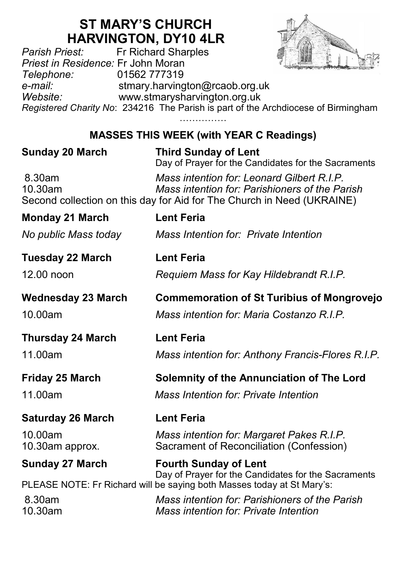## **ST MARY'S CHURCH HARVINGTON, DY10 4LR**<br>Fr Richard Sharples



*Parish Priest:* Fr Richard Sharples *Priest in Residence:* Fr John Moran *Telephone:* 01562 777319 *e-mail:* stmary.harvington@rcaob.org.uk *Website:* www.stmarysharvington.org.uk *Registered Charity No*: 234216 The Parish is part of the Archdiocese of Birmingham ………………

## **MASSES THIS WEEK (with YEAR C Readings)**

| <b>Sunday 20 March</b>     | <b>Third Sunday of Lent</b><br>Day of Prayer for the Candidates for the Sacraments                                                                                     |
|----------------------------|------------------------------------------------------------------------------------------------------------------------------------------------------------------------|
| 8.30am<br>10.30am          | Mass intention for: Leonard Gilbert R.I.P.<br>Mass intention for: Parishioners of the Parish<br>Second collection on this day for Aid for The Church in Need (UKRAINE) |
| <b>Monday 21 March</b>     | <b>Lent Feria</b>                                                                                                                                                      |
| No public Mass today       | Mass Intention for: Private Intention                                                                                                                                  |
| <b>Tuesday 22 March</b>    | <b>Lent Feria</b>                                                                                                                                                      |
| $12.00$ noon               | Requiem Mass for Kay Hildebrandt R.I.P.                                                                                                                                |
| <b>Wednesday 23 March</b>  | <b>Commemoration of St Turibius of Mongrovejo</b>                                                                                                                      |
| 10.00am                    | Mass intention for: Maria Costanzo R.I.P.                                                                                                                              |
| <b>Thursday 24 March</b>   | <b>Lent Feria</b>                                                                                                                                                      |
| 11.00am                    | Mass intention for: Anthony Francis-Flores R.I.P.                                                                                                                      |
| <b>Friday 25 March</b>     | Solemnity of the Annunciation of The Lord                                                                                                                              |
| 11.00am                    | Mass Intention for: Private Intention                                                                                                                                  |
| <b>Saturday 26 March</b>   | <b>Lent Feria</b>                                                                                                                                                      |
| 10.00am<br>10.30am approx. | Mass intention for: Margaret Pakes R.I.P.<br>Sacrament of Reconciliation (Confession)                                                                                  |
| <b>Sunday 27 March</b>     | <b>Fourth Sunday of Lent</b><br>Day of Prayer for the Candidates for the Sacraments                                                                                    |
|                            | PLEASE NOTE: Fr Richard will be saying both Masses today at St Mary's:                                                                                                 |
| 8.30am<br>10.30am          | Mass intention for: Parishioners of the Parish<br>Mass intention for: Private Intention                                                                                |
|                            |                                                                                                                                                                        |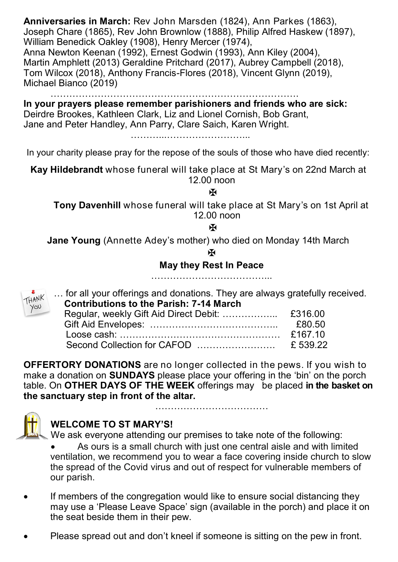**Anniversaries in March:** Rev John Marsden (1824), Ann Parkes (1863), Joseph Chare (1865), Rev John Brownlow (1888), Philip Alfred Haskew (1897), William Benedick Oakley (1908), Henry Mercer (1974), Anna Newton Keenan (1992), Ernest Godwin (1993), Ann Kiley (2004), Martin Amphlett (2013) Geraldine Pritchard (2017), Aubrey Campbell (2018), Tom Wilcox (2018), Anthony Francis-Flores (2018), Vincent Glynn (2019), Michael Bianco (2019)

……………………………………………………………

**In your prayers please remember parishioners and friends who are sick:**  Deirdre Brookes, Kathleen Clark, Liz and Lionel Cornish, Bob Grant, Jane and Peter Handley, Ann Parry, Clare Saich, Karen Wright.

…………………………………………

In your charity please pray for the repose of the souls of those who have died recently:

**Kay Hildebrandt** whose funeral will take place at St Mary's on 22nd March at 12.00 noon

 $\overline{\mathbf{M}}$ 

**Tony Davenhill** whose funeral will take place at St Mary's on 1st April at 12.00 noon

ж

**Jane Young** (Annette Adey's mother) who died on Monday 14th March

**K** 

**May they Rest In Peace** 

………………………………...

… for all your offerings and donations. They are always gratefully received.  **Contributions to the Parish: 7-14 March**

|  | £80.50 |
|--|--------|
|  |        |
|  |        |
|  |        |

**OFFERTORY DONATIONS** are no longer collected in the pews. If you wish to make a donation on **SUNDAYS** please place your offering in the 'bin' on the porch table. On **OTHER DAYS OF THE WEEK** offerings may be placed **in the basket on the sanctuary step in front of the altar.** 



THANK you

## **WELCOME TO ST MARY'S!**

We ask everyone attending our premises to take note of the following:

 As ours is a small church with just one central aisle and with limited ventilation, we recommend you to wear a face covering inside church to slow the spread of the Covid virus and out of respect for vulnerable members of our parish.

………………………………

- If members of the congregation would like to ensure social distancing they may use a 'Please Leave Space' sign (available in the porch) and place it on the seat beside them in their pew.
- Please spread out and don't kneel if someone is sitting on the pew in front.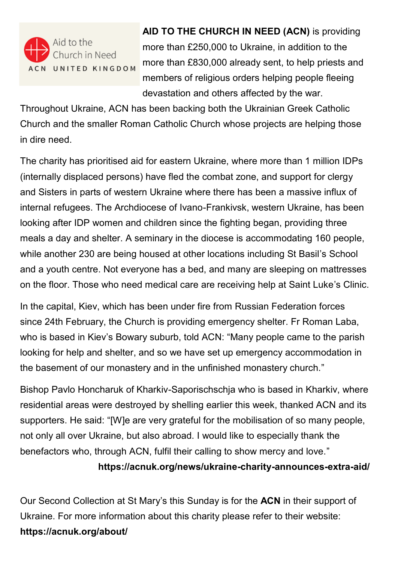

 **AID TO THE CHURCH IN NEED (ACN)** is providing more than £250,000 to Ukraine, in addition to the more than £830,000 already sent, to help priests and members of religious orders helping people fleeing devastation and others affected by the war.

Throughout Ukraine, ACN has been backing both the Ukrainian Greek Catholic Church and the smaller Roman Catholic Church whose projects are helping those in dire need.

The charity has prioritised aid for eastern Ukraine, where more than 1 million IDPs (internally displaced persons) have fled the combat zone, and support for clergy and Sisters in parts of western Ukraine where there has been a massive influx of internal refugees. The Archdiocese of Ivano-Frankivsk, western Ukraine, has been looking after IDP women and children since the fighting began, providing three meals a day and shelter. A seminary in the diocese is accommodating 160 people, while another 230 are being housed at other locations including St Basil's School and a youth centre. Not everyone has a bed, and many are sleeping on mattresses on the floor. Those who need medical care are receiving help at Saint Luke's Clinic.

In the capital, Kiev, which has been under fire from Russian Federation forces since 24th February, the Church is providing emergency shelter. Fr Roman Laba, who is based in Kiev's Bowary suburb, told ACN: "Many people came to the parish looking for help and shelter, and so we have set up emergency accommodation in the basement of our monastery and in the unfinished monastery church."

Bishop Pavlo Honcharuk of Kharkiv-Saporischschja who is based in Kharkiv, where residential areas were destroyed by shelling earlier this week, thanked ACN and its supporters. He said: "[W]e are very grateful for the mobilisation of so many people, not only all over Ukraine, but also abroad. I would like to especially thank the benefactors who, through ACN, fulfil their calling to show mercy and love."

**https://acnuk.org/news/ukraine-charity-announces-extra-aid/** 

Our Second Collection at St Mary's this Sunday is for the **ACN** in their support of Ukraine. For more information about this charity please refer to their website: **https://acnuk.org/about/**